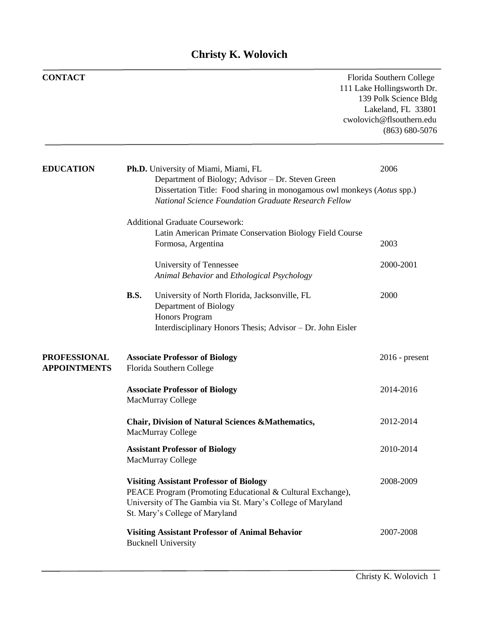## **Christy K. Wolovich**

| <b>CONTACT</b>                             |             |                                                                                                                                                                                                                                     | Florida Southern College<br>111 Lake Hollingsworth Dr.<br>139 Polk Science Bldg<br>Lakeland, FL 33801<br>cwolovich@flsouthern.edu<br>$(863) 680 - 5076$ |
|--------------------------------------------|-------------|-------------------------------------------------------------------------------------------------------------------------------------------------------------------------------------------------------------------------------------|---------------------------------------------------------------------------------------------------------------------------------------------------------|
| <b>EDUCATION</b>                           |             | Ph.D. University of Miami, Miami, FL<br>Department of Biology; Advisor - Dr. Steven Green<br>Dissertation Title: Food sharing in monogamous owl monkeys (Aotus spp.)<br><b>National Science Foundation Graduate Research Fellow</b> | 2006                                                                                                                                                    |
|                                            |             | <b>Additional Graduate Coursework:</b><br>Latin American Primate Conservation Biology Field Course<br>Formosa, Argentina                                                                                                            | 2003                                                                                                                                                    |
|                                            |             | University of Tennessee<br>Animal Behavior and Ethological Psychology                                                                                                                                                               | 2000-2001                                                                                                                                               |
|                                            | <b>B.S.</b> | University of North Florida, Jacksonville, FL<br>Department of Biology<br>Honors Program<br>Interdisciplinary Honors Thesis; Advisor - Dr. John Eisler                                                                              | 2000                                                                                                                                                    |
| <b>PROFESSIONAL</b><br><b>APPOINTMENTS</b> |             | <b>Associate Professor of Biology</b><br>Florida Southern College                                                                                                                                                                   | $2016$ - present                                                                                                                                        |
|                                            |             | <b>Associate Professor of Biology</b><br><b>MacMurray College</b>                                                                                                                                                                   | 2014-2016                                                                                                                                               |
|                                            |             | <b>Chair, Division of Natural Sciences &amp; Mathematics,</b><br><b>MacMurray College</b>                                                                                                                                           | 2012-2014                                                                                                                                               |
|                                            |             | <b>Assistant Professor of Biology</b><br>MacMurray College                                                                                                                                                                          | 2010-2014                                                                                                                                               |
|                                            |             | <b>Visiting Assistant Professor of Biology</b><br>PEACE Program (Promoting Educational & Cultural Exchange),<br>University of The Gambia via St. Mary's College of Maryland<br>St. Mary's College of Maryland                       | 2008-2009                                                                                                                                               |
|                                            |             | <b>Visiting Assistant Professor of Animal Behavior</b><br><b>Bucknell University</b>                                                                                                                                                | 2007-2008                                                                                                                                               |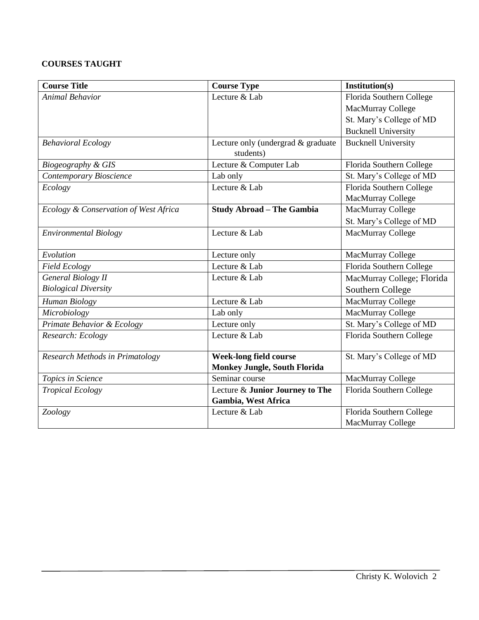### **COURSES TAUGHT**

| <b>Course Title</b>                   | <b>Course Type</b>                              | Institution(s)             |
|---------------------------------------|-------------------------------------------------|----------------------------|
| <b>Animal Behavior</b>                | Lecture & Lab                                   | Florida Southern College   |
|                                       |                                                 | <b>MacMurray College</b>   |
|                                       |                                                 | St. Mary's College of MD   |
|                                       |                                                 | <b>Bucknell University</b> |
| <b>Behavioral Ecology</b>             | Lecture only (undergrad & graduate<br>students) | <b>Bucknell University</b> |
| Biogeography & GIS                    | Lecture & Computer Lab                          | Florida Southern College   |
| Contemporary Bioscience               | Lab only                                        | St. Mary's College of MD   |
| Ecology                               | Lecture & Lab                                   | Florida Southern College   |
|                                       |                                                 | <b>MacMurray College</b>   |
| Ecology & Conservation of West Africa | <b>Study Abroad - The Gambia</b>                | <b>MacMurray College</b>   |
|                                       |                                                 | St. Mary's College of MD   |
| <b>Environmental Biology</b>          | Lecture & Lab                                   | <b>MacMurray College</b>   |
| Evolution                             | Lecture only                                    | MacMurray College          |
| <b>Field Ecology</b>                  | Lecture & Lab                                   | Florida Southern College   |
| <b>General Biology II</b>             | Lecture & Lab                                   | MacMurray College; Florida |
| <b>Biological Diversity</b>           |                                                 | Southern College           |
| Human Biology                         | Lecture & Lab                                   | MacMurray College          |
| Microbiology                          | Lab only                                        | <b>MacMurray College</b>   |
| Primate Behavior & Ecology            | Lecture only                                    | St. Mary's College of MD   |
| Research: Ecology                     | Lecture & Lab                                   | Florida Southern College   |
|                                       |                                                 |                            |
| Research Methods in Primatology       | <b>Week-long field course</b>                   | St. Mary's College of MD   |
|                                       | <b>Monkey Jungle, South Florida</b>             |                            |
| Topics in Science                     | Seminar course                                  | MacMurray College          |
| <b>Tropical Ecology</b>               | Lecture & Junior Journey to The                 | Florida Southern College   |
|                                       | Gambia, West Africa                             |                            |
| Zoology                               | Lecture & Lab                                   | Florida Southern College   |
|                                       |                                                 | <b>MacMurray College</b>   |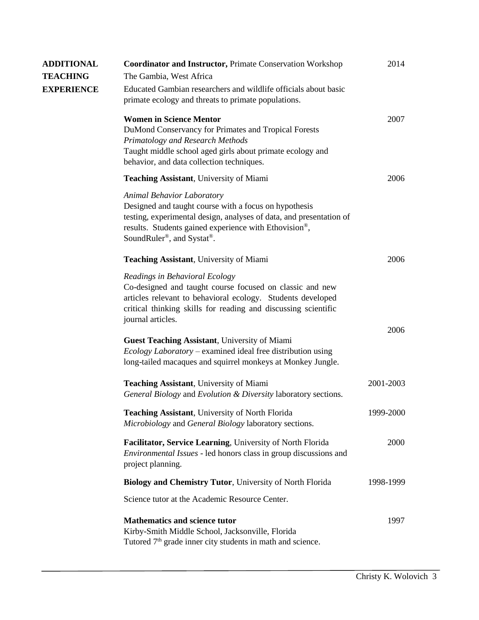| <b>ADDITIONAL</b> | <b>Coordinator and Instructor, Primate Conservation Workshop</b>                                                                                                                                                                                 | 2014      |
|-------------------|--------------------------------------------------------------------------------------------------------------------------------------------------------------------------------------------------------------------------------------------------|-----------|
| <b>TEACHING</b>   | The Gambia, West Africa                                                                                                                                                                                                                          |           |
| <b>EXPERIENCE</b> | Educated Gambian researchers and wildlife officials about basic<br>primate ecology and threats to primate populations.                                                                                                                           |           |
|                   | <b>Women in Science Mentor</b><br>DuMond Conservancy for Primates and Tropical Forests<br>Primatology and Research Methods<br>Taught middle school aged girls about primate ecology and<br>behavior, and data collection techniques.             | 2007      |
|                   | <b>Teaching Assistant</b> , University of Miami                                                                                                                                                                                                  | 2006      |
|                   | Animal Behavior Laboratory<br>Designed and taught course with a focus on hypothesis<br>testing, experimental design, analyses of data, and presentation of<br>results. Students gained experience with Ethovision®,<br>SoundRuler®, and Systat®. |           |
|                   | <b>Teaching Assistant</b> , University of Miami                                                                                                                                                                                                  | 2006      |
|                   | Readings in Behavioral Ecology<br>Co-designed and taught course focused on classic and new<br>articles relevant to behavioral ecology. Students developed<br>critical thinking skills for reading and discussing scientific<br>journal articles. |           |
|                   | Guest Teaching Assistant, University of Miami<br><i>Ecology Laboratory</i> – examined ideal free distribution using<br>long-tailed macaques and squirrel monkeys at Monkey Jungle.                                                               | 2006      |
|                   | <b>Teaching Assistant</b> , University of Miami<br>General Biology and Evolution & Diversity laboratory sections.                                                                                                                                | 2001-2003 |
|                   | <b>Teaching Assistant, University of North Florida</b><br>Microbiology and General Biology laboratory sections.                                                                                                                                  | 1999-2000 |
|                   | Facilitator, Service Learning, University of North Florida<br><i>Environmental Issues</i> - led honors class in group discussions and<br>project planning.                                                                                       | 2000      |
|                   | Biology and Chemistry Tutor, University of North Florida                                                                                                                                                                                         | 1998-1999 |
|                   | Science tutor at the Academic Resource Center.                                                                                                                                                                                                   |           |
|                   | <b>Mathematics and science tutor</b><br>Kirby-Smith Middle School, Jacksonville, Florida<br>Tutored 7 <sup>th</sup> grade inner city students in math and science.                                                                               | 1997      |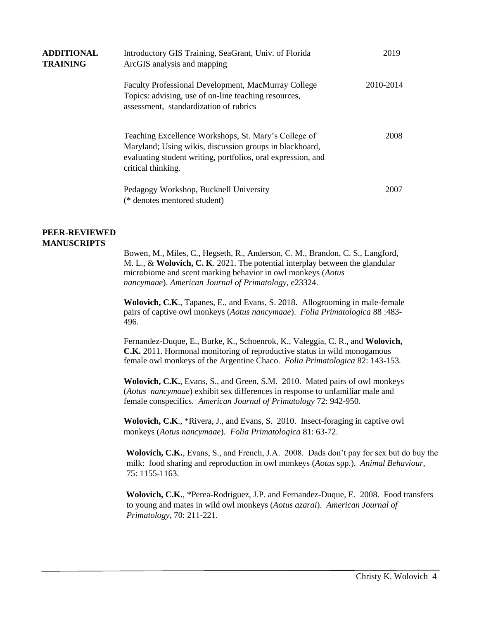| <b>ADDITIONAL</b><br><b>TRAINING</b> | Introductory GIS Training, SeaGrant, Univ. of Florida<br>ArcGIS analysis and mapping                                                                                                                  | 2019      |
|--------------------------------------|-------------------------------------------------------------------------------------------------------------------------------------------------------------------------------------------------------|-----------|
|                                      | <b>Faculty Professional Development, MacMurray College</b><br>Topics: advising, use of on-line teaching resources,<br>assessment, standardization of rubrics                                          | 2010-2014 |
|                                      | Teaching Excellence Workshops, St. Mary's College of<br>Maryland; Using wikis, discussion groups in blackboard,<br>evaluating student writing, portfolios, oral expression, and<br>critical thinking. | 2008      |
|                                      | Pedagogy Workshop, Bucknell University<br>(* denotes mentored student)                                                                                                                                | 2007      |

#### **PEER-REVIEWED MANUSCRIPTS**

Bowen, M., Miles, C., Hegseth, R., Anderson, C. M., Brandon, C. S., Langford, M. L., & **Wolovich, C. K**. 2021. The potential interplay between the glandular microbiome and scent marking behavior in owl monkeys (*Aotus nancymaae*). *American Journal of Primatology*, e23324.

**Wolovich, C.K**., Tapanes, E., and Evans, S. 2018. Allogrooming in male-female pairs of captive owl monkeys (*Aotus nancymaae*). *Folia Primatologica* 88 :483- 496.

Fernandez-Duque, E., Burke, K., Schoenrok, K., Valeggia, C. R., and **Wolovich, C.K.** 2011. Hormonal monitoring of reproductive status in wild monogamous female owl monkeys of the Argentine Chaco. *Folia Primatologica* 82: 143-153*.*

**Wolovich, C.K.**, Evans, S., and Green, S.M. 2010. Mated pairs of owl monkeys (*Aotus nancymaae*) exhibit sex differences in response to unfamiliar male and female conspecifics. *American Journal of Primatology* 72: 942-950.

**Wolovich, C.K**., \*Rivera, J., and Evans, S. 2010.Insect-foraging in captive owl monkeys (*Aotus nancymaae*). *Folia Primatologica* 81: 63-72.

**Wolovich, C.K.**, Evans, S., and French, J.A. 2008. Dads don't pay for sex but do buy the milk: food sharing and reproduction in owl monkeys (*Aotus* spp.). *Animal Behaviour*, 75: 1155-1163.

**Wolovich, C.K.**, \*Perea-Rodriguez, J.P. and Fernandez-Duque, E. 2008. Food transfers to young and mates in wild owl monkeys (*Aotus azarai*). *American Journal of Primatology*, 70: 211-221.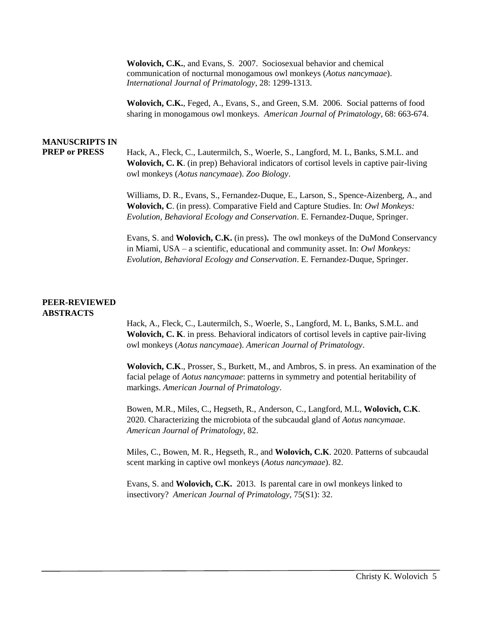**Wolovich, C.K.**, and Evans, S. 2007. Sociosexual behavior and chemical communication of nocturnal monogamous owl monkeys (*Aotus nancymaae*). *International Journal of Primatology*, 28: 1299-1313.

**Wolovich, C.K.**, Feged, A., Evans, S., and Green, S.M. 2006. Social patterns of food sharing in monogamous owl monkeys. *American Journal of Primatology*, 68: 663-674.

# **MANUSCRIPTS IN**

**PREP or PRESS** Hack, A., Fleck, C., Lautermilch, S., Woerle, S., Langford, M. L, Banks, S.M.L. and **Wolovich, C. K**. (in prep) Behavioral indicators of cortisol levels in captive pair-living owl monkeys (*Aotus nancymaae*). *Zoo Biology*.

> Williams, D. R., Evans, S., Fernandez-Duque, E., Larson, S., Spence-Aizenberg, A., and **Wolovich, C**. (in press). Comparative Field and Capture Studies. In: *Owl Monkeys: Evolution, Behavioral Ecology and Conservation*. E. Fernandez-Duque, Springer.

Evans, S. and **Wolovich, C.K.** (in press)**.** The owl monkeys of the DuMond Conservancy in Miami, USA – a scientific, educational and community asset. In: *Owl Monkeys: Evolution, Behavioral Ecology and Conservation*. E. Fernandez-Duque, Springer.

#### **PEER-REVIEWED ABSTRACTS**

Hack, A., Fleck, C., Lautermilch, S., Woerle, S., Langford, M. L, Banks, S.M.L. and **Wolovich, C. K**. in press. Behavioral indicators of cortisol levels in captive pair-living owl monkeys (*Aotus nancymaae*). *American Journal of Primatology*.

**Wolovich, C.K**., Prosser, S., Burkett, M., and Ambros, S. in press. An examination of the facial pelage of *Aotus nancymaae*: patterns in symmetry and potential heritability of markings. *American Journal of Primatology*.

Bowen, M.R., Miles, C., Hegseth, R., Anderson, C., Langford, M.L, **Wolovich, C.K**. 2020. Characterizing the microbiota of the subcaudal gland of *Aotus nancymaae*. *American Journal of Primatology*, 82.

Miles, C., Bowen, M. R., Hegseth, R., and **Wolovich, C.K**. 2020. Patterns of subcaudal scent marking in captive owl monkeys (*Aotus nancymaae*). 82.

Evans, S. and **Wolovich, C.K.** 2013. Is parental care in owl monkeys linked to insectivory? *American Journal of Primatology,* 75(S1): 32.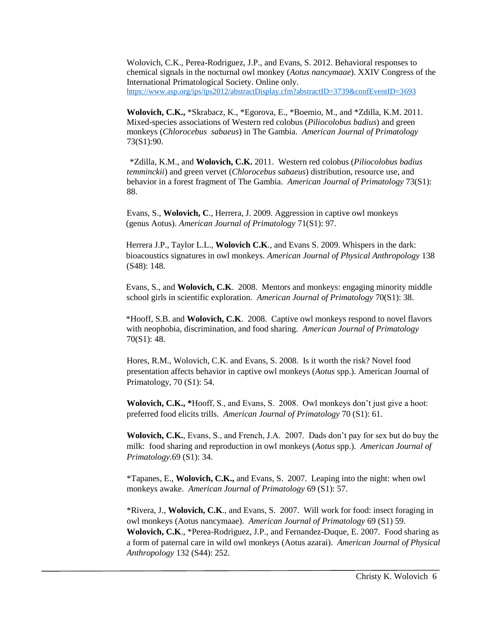Wolovich, C.K., Perea-Rodriguez, J.P., and Evans, S. 2012. Behavioral responses to chemical signals in the nocturnal owl monkey (*Aotus nancymaae*). XXIV Congress of the International Primatological Society. Online only. <https://www.asp.org/ips/ips2012/abstractDisplay.cfm?abstractID=3739&confEventID=3693>

**Wolovich, C.K.,** \*Skrabacz, K., \*Egorova, E., \*Boemio, M., and \*Zdilla, K.M. 2011. Mixed-species associations of Western red colobus (*Piliocolobus badius*) and green monkeys (*Chlorocebus sabaeus*) in The Gambia. *American Journal of Primatology*  73(S1):90.

\*Zdilla, K.M., and **Wolovich, C.K.** 2011. Western red colobus (*Piliocolobus badius temminckii*) and green vervet (*Chlorocebus sabaeus*) distribution, resource use, and behavior in a forest fragment of The Gambia. *American Journal of Primatology* 73(S1): 88.

Evans, S., **Wolovich, C**., Herrera, J. 2009. Aggression in captive owl monkeys (genus Aotus). *American Journal of Primatology* 71(S1): 97.

Herrera J.P., Taylor L.L., **Wolovich C.K**., and Evans S. 2009. Whispers in the dark: bioacoustics signatures in owl monkeys. *American Journal of Physical Anthropology* 138 (S48): 148.

Evans, S., and **Wolovich, C.K**. 2008. Mentors and monkeys: engaging minority middle school girls in scientific exploration. *American Journal of Primatology* 70(S1): 38.

\*Hooff, S.B. and **Wolovich, C.K**. 2008. Captive owl monkeys respond to novel flavors with neophobia, discrimination, and food sharing. *American Journal of Primatology* 70(S1): 48.

Hores, R.M., Wolovich, C.K. and Evans, S. 2008. Is it worth the risk? Novel food presentation affects behavior in captive owl monkeys (*Aotus* spp.). American Journal of Primatology, 70 (S1): 54.

**Wolovich, C.K., \***Hooff, S., and Evans, S. 2008. Owl monkeys don't just give a hoot: preferred food elicits trills. *American Journal of Primatology* 70 (S1): 61.

**Wolovich, C.K.**, Evans, S., and French, J.A. 2007. Dads don't pay for sex but do buy the milk: food sharing and reproduction in owl monkeys (*Aotus* spp.). *American Journal of Primatology*.69 (S1): 34.

\*Tapanes, E., **Wolovich, C.K.,** and Evans, S. 2007. Leaping into the night: when owl monkeys awake. *American Journal of Primatology* 69 (S1): 57.

\*Rivera, J., **Wolovich, C.K**., and Evans, S. 2007. Will work for food: insect foraging in owl monkeys (Aotus nancymaae). *American Journal of Primatology* 69 (S1) 59. **Wolovich, C.K**., \*Perea-Rodriguez, J.P., and Fernandez-Duque, E. 2007. Food sharing as a form of paternal care in wild owl monkeys (Aotus azarai). *American Journal of Physical Anthropology* 132 (S44): 252.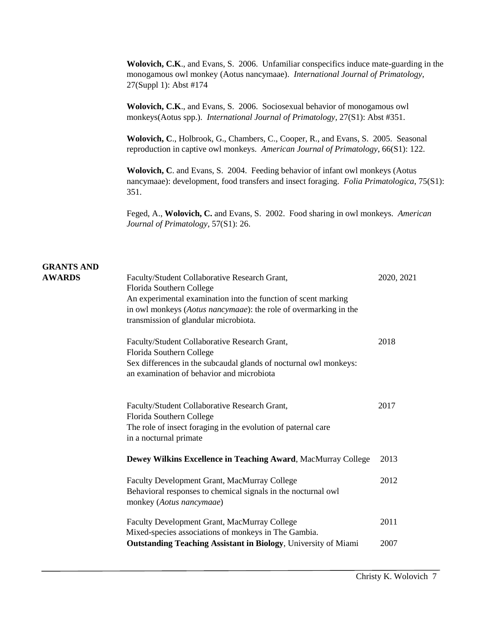**Wolovich, C.K**., and Evans, S. 2006. Unfamiliar conspecifics induce mate-guarding in the monogamous owl monkey (Aotus nancymaae). *International Journal of Primatology*, 27(Suppl 1): Abst #174

**Wolovich, C.K**., and Evans, S. 2006. Sociosexual behavior of monogamous owl monkeys(Aotus spp.). *International Journal of Primatology*, 27(S1): Abst #351.

**Wolovich, C**., Holbrook, G., Chambers, C., Cooper, R., and Evans, S. 2005. Seasonal reproduction in captive owl monkeys. *American Journal of Primatology*, 66(S1): 122.

**Wolovich, C**. and Evans, S. 2004. Feeding behavior of infant owl monkeys (Aotus nancymaae): development, food transfers and insect foraging. *Folia Primatologica*, 75(S1): 351.

Feged, A., **Wolovich, C.** and Evans, S. 2002. Food sharing in owl monkeys. *American Journal of Primatology*, 57(S1): 26.

# **GRANTS AND**

| <b>AWARDS</b> | Faculty/Student Collaborative Research Grant,<br>Florida Southern College<br>An experimental examination into the function of scent marking<br>in owl monkeys (Aotus nancymaae): the role of overmarking in the<br>transmission of glandular microbiota. | 2020, 2021 |
|---------------|----------------------------------------------------------------------------------------------------------------------------------------------------------------------------------------------------------------------------------------------------------|------------|
|               | Faculty/Student Collaborative Research Grant,<br>Florida Southern College<br>Sex differences in the subcaudal glands of nocturnal owl monkeys:<br>an examination of behavior and microbiota                                                              | 2018       |
|               | Faculty/Student Collaborative Research Grant,<br>Florida Southern College<br>The role of insect foraging in the evolution of paternal care<br>in a nocturnal primate                                                                                     | 2017       |
|               | Dewey Wilkins Excellence in Teaching Award, MacMurray College                                                                                                                                                                                            | 2013       |
|               | Faculty Development Grant, MacMurray College<br>Behavioral responses to chemical signals in the nocturnal owl<br>monkey (Aotus nancymaae)                                                                                                                | 2012       |
|               | Faculty Development Grant, MacMurray College<br>Mixed-species associations of monkeys in The Gambia.                                                                                                                                                     | 2011       |
|               | <b>Outstanding Teaching Assistant in Biology</b> , University of Miami                                                                                                                                                                                   | 2007       |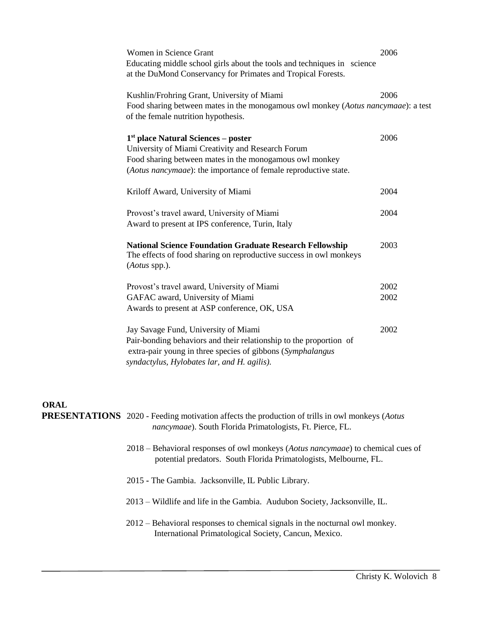| Women in Science Grant | Educating middle school girls about the tools and techniques in science<br>at the DuMond Conservancy for Primates and Tropical Forests.                                                                                  | 2006         |
|------------------------|--------------------------------------------------------------------------------------------------------------------------------------------------------------------------------------------------------------------------|--------------|
|                        | Kushlin/Frohring Grant, University of Miami<br>Food sharing between mates in the monogamous owl monkey (Aotus nancymaae): a test<br>of the female nutrition hypothesis.                                                  | 2006         |
|                        | $1st$ place Natural Sciences – poster<br>University of Miami Creativity and Research Forum<br>Food sharing between mates in the monogamous owl monkey<br>(Aotus nancymaae): the importance of female reproductive state. | 2006         |
|                        | Kriloff Award, University of Miami                                                                                                                                                                                       | 2004         |
|                        | Provost's travel award, University of Miami<br>Award to present at IPS conference, Turin, Italy                                                                                                                          | 2004         |
| ( <i>Aotus</i> spp.).  | <b>National Science Foundation Graduate Research Fellowship</b><br>The effects of food sharing on reproductive success in owl monkeys                                                                                    | 2003         |
|                        | Provost's travel award, University of Miami<br>GAFAC award, University of Miami<br>Awards to present at ASP conference, OK, USA                                                                                          | 2002<br>2002 |
|                        | Jay Savage Fund, University of Miami<br>Pair-bonding behaviors and their relationship to the proportion of<br>extra-pair young in three species of gibbons (Symphalangus<br>syndactylus, Hylobates lar, and H. agilis).  | 2002         |

#### **ORAL**

**PRESENTATIONS** 2020 - Feeding motivation affects the production of trills in owl monkeys (*Aotus nancymaae*). South Florida Primatologists, Ft. Pierce, FL.

- 2018 Behavioral responses of owl monkeys (*Aotus nancymaae*) to chemical cues of potential predators. South Florida Primatologists, Melbourne, FL.
- 2015 **-** The Gambia. Jacksonville, IL Public Library.
- 2013 Wildlife and life in the Gambia. Audubon Society, Jacksonville, IL.
- 2012 Behavioral responses to chemical signals in the nocturnal owl monkey. International Primatological Society, Cancun, Mexico.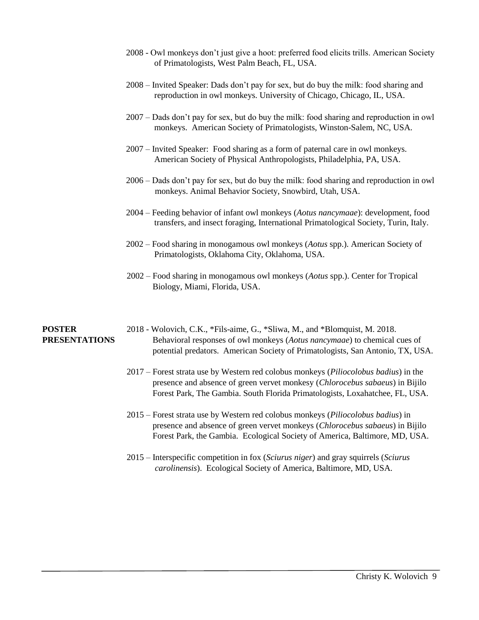- 2008 Owl monkeys don't just give a hoot: preferred food elicits trills. American Society of Primatologists, West Palm Beach, FL, USA.
- 2008 Invited Speaker: Dads don't pay for sex, but do buy the milk: food sharing and reproduction in owl monkeys. University of Chicago, Chicago, IL, USA.
- 2007 Dads don't pay for sex, but do buy the milk: food sharing and reproduction in owl monkeys. American Society of Primatologists, Winston-Salem, NC, USA.
- 2007 Invited Speaker: Food sharing as a form of paternal care in owl monkeys. American Society of Physical Anthropologists, Philadelphia, PA, USA.
- 2006 Dads don't pay for sex, but do buy the milk: food sharing and reproduction in owl monkeys. Animal Behavior Society, Snowbird, Utah, USA.
- 2004 Feeding behavior of infant owl monkeys (*Aotus nancymaae*): development, food transfers, and insect foraging, International Primatological Society, Turin, Italy.
- 2002 Food sharing in monogamous owl monkeys (*Aotus* spp.). American Society of Primatologists, Oklahoma City, Oklahoma, USA.
- 2002 Food sharing in monogamous owl monkeys (*Aotus* spp.). Center for Tropical Biology, Miami, Florida, USA.

#### **POSTER PRESENTATIONS**

- 2018 Wolovich, C.K., \*Fils-aime, G., \*Sliwa, M., and \*Blomquist, M. 2018. Behavioral responses of owl monkeys (*Aotus nancymaae*) to chemical cues of potential predators. American Society of Primatologists, San Antonio, TX, USA.
- 2017 Forest strata use by Western red colobus monkeys (*Piliocolobus badius*) in the presence and absence of green vervet monkesy (*Chlorocebus sabaeus*) in Bijilo Forest Park, The Gambia. South Florida Primatologists, Loxahatchee, FL, USA.
- 2015 Forest strata use by Western red colobus monkeys (*Piliocolobus badius*) in presence and absence of green vervet monkeys (*Chlorocebus sabaeus*) in Bijilo Forest Park, the Gambia. Ecological Society of America, Baltimore, MD, USA.
- 2015 Interspecific competition in fox (*Sciurus niger*) and gray squirrels (*Sciurus carolinensis*). Ecological Society of America, Baltimore, MD, USA.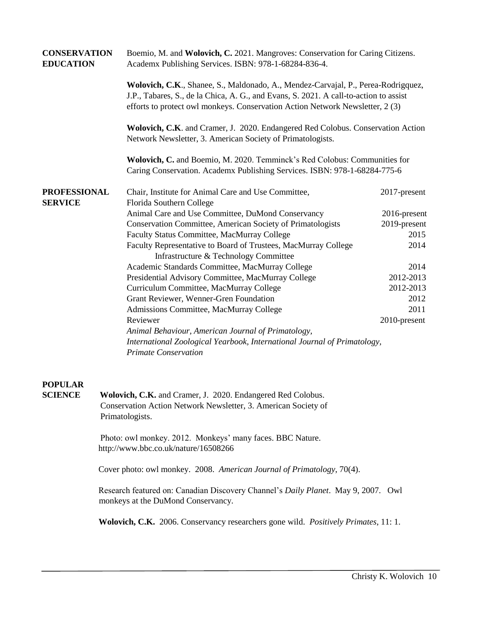| <b>CONSERVATION</b><br><b>EDUCATION</b> |  | Boemio, M. and Wolovich, C. 2021. Mangroves: Conservation for Caring Citizens.<br>Academx Publishing Services. ISBN: 978-1-68284-836-4.                                                                                                                                                                 |              |  |  |
|-----------------------------------------|--|---------------------------------------------------------------------------------------------------------------------------------------------------------------------------------------------------------------------------------------------------------------------------------------------------------|--------------|--|--|
|                                         |  | Wolovich, C.K., Shanee, S., Maldonado, A., Mendez-Carvajal, P., Perea-Rodrigquez,<br>J.P., Tabares, S., de la Chica, A. G., and Evans, S. 2021. A call-to-action to assist<br>efforts to protect owl monkeys. Conservation Action Network Newsletter, 2 (3)                                             |              |  |  |
|                                         |  | Wolovich, C.K. and Cramer, J. 2020. Endangered Red Colobus. Conservation Action<br>Network Newsletter, 3. American Society of Primatologists.<br>Wolovich, C. and Boemio, M. 2020. Temminck's Red Colobus: Communities for<br>Caring Conservation. Academx Publishing Services. ISBN: 978-1-68284-775-6 |              |  |  |
|                                         |  |                                                                                                                                                                                                                                                                                                         |              |  |  |
| <b>PROFESSIONAL</b><br><b>SERVICE</b>   |  | Chair, Institute for Animal Care and Use Committee,<br>Florida Southern College                                                                                                                                                                                                                         | 2017-present |  |  |
|                                         |  | Animal Care and Use Committee, DuMond Conservancy                                                                                                                                                                                                                                                       | 2016-present |  |  |
|                                         |  | Conservation Committee, American Society of Primatologists                                                                                                                                                                                                                                              | 2019-present |  |  |
|                                         |  | Faculty Status Committee, MacMurray College                                                                                                                                                                                                                                                             | 2015         |  |  |
|                                         |  | Faculty Representative to Board of Trustees, MacMurray College                                                                                                                                                                                                                                          | 2014         |  |  |
|                                         |  | Infrastructure & Technology Committee                                                                                                                                                                                                                                                                   |              |  |  |
|                                         |  | Academic Standards Committee, MacMurray College                                                                                                                                                                                                                                                         | 2014         |  |  |
|                                         |  | Presidential Advisory Committee, MacMurray College                                                                                                                                                                                                                                                      | 2012-2013    |  |  |
|                                         |  | Curriculum Committee, MacMurray College                                                                                                                                                                                                                                                                 | 2012-2013    |  |  |
|                                         |  | Grant Reviewer, Wenner-Gren Foundation                                                                                                                                                                                                                                                                  | 2012         |  |  |
|                                         |  | Admissions Committee, MacMurray College                                                                                                                                                                                                                                                                 | 2011         |  |  |
|                                         |  | Reviewer                                                                                                                                                                                                                                                                                                | 2010-present |  |  |
|                                         |  | Animal Behaviour, American Journal of Primatology,                                                                                                                                                                                                                                                      |              |  |  |
|                                         |  | International Zoological Yearbook, International Journal of Primatology,<br><b>Primate Conservation</b>                                                                                                                                                                                                 |              |  |  |
| <b>POPULAR</b><br><b>SCIENCE</b>        |  | Wolovich, C.K. and Cramer, J. 2020. Endangered Red Colobus.<br>Conservation Action Network Newsletter, 3. American Society of<br>Primatologists.                                                                                                                                                        |              |  |  |
|                                         |  | Photo: owl monkey. 2012. Monkeys' many faces. BBC Nature.<br>http://www.bbc.co.uk/nature/16508266                                                                                                                                                                                                       |              |  |  |
|                                         |  | Cover photo: owl monkey. 2008. American Journal of Primatology, 70(4).                                                                                                                                                                                                                                  |              |  |  |
|                                         |  | Research featured on: Canadian Discovery Channel's Daily Planet. May 9, 2007. Owl<br>monkeys at the DuMond Conservancy.                                                                                                                                                                                 |              |  |  |
|                                         |  | Wolovich, C.K. 2006. Conservancy researchers gone wild. Positively Primates, 11: 1.                                                                                                                                                                                                                     |              |  |  |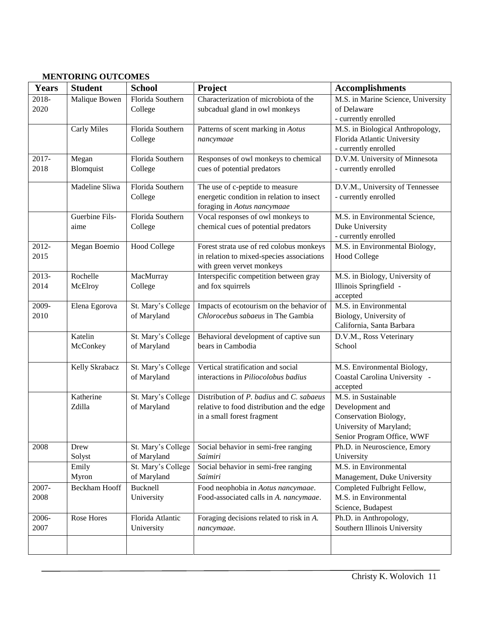## **MENTORING OUTCOMES**

| <b>Years</b>  | <b>Student</b>         | <b>School</b>                     | Project                                                                                                              | <b>Accomplishments</b>                                                                                                   |
|---------------|------------------------|-----------------------------------|----------------------------------------------------------------------------------------------------------------------|--------------------------------------------------------------------------------------------------------------------------|
| 2018-<br>2020 | Malique Bowen          | Florida Southern<br>College       | Characterization of microbiota of the<br>subcadual gland in owl monkeys                                              | M.S. in Marine Science, University<br>of Delaware<br>- currently enrolled                                                |
|               | <b>Carly Miles</b>     | Florida Southern<br>College       | Patterns of scent marking in Aotus<br>nancymaae                                                                      | M.S. in Biological Anthropology,<br>Florida Atlantic University<br>- currently enrolled                                  |
| 2017-<br>2018 | Megan<br>Blomquist     | Florida Southern<br>College       | Responses of owl monkeys to chemical<br>cues of potential predators                                                  | D.V.M. University of Minnesota<br>- currently enrolled                                                                   |
|               | Madeline Sliwa         | Florida Southern<br>College       | The use of c-peptide to measure<br>energetic condition in relation to insect<br>foraging in Aotus nancymaae          | D.V.M., University of Tennessee<br>- currently enrolled                                                                  |
|               | Guerbine Fils-<br>aime | Florida Southern<br>College       | Vocal responses of owl monkeys to<br>chemical cues of potential predators                                            | M.S. in Environmental Science,<br>Duke University<br>- currently enrolled                                                |
| 2012-<br>2015 | Megan Boemio           | <b>Hood College</b>               | Forest strata use of red colobus monkeys<br>in relation to mixed-species associations<br>with green vervet monkeys   | M.S. in Environmental Biology,<br><b>Hood College</b>                                                                    |
| 2013-<br>2014 | Rochelle<br>McElroy    | MacMurray<br>College              | Interspecific competition between gray<br>and fox squirrels                                                          | M.S. in Biology, University of<br>Illinois Springfield -<br>accepted                                                     |
| 2009-<br>2010 | Elena Egorova          | St. Mary's College<br>of Maryland | Impacts of ecotourism on the behavior of<br>Chlorocebus sabaeus in The Gambia                                        | M.S. in Environmental<br>Biology, University of<br>California, Santa Barbara                                             |
|               | Katelin<br>McConkey    | St. Mary's College<br>of Maryland | Behavioral development of captive sun<br>bears in Cambodia                                                           | D.V.M., Ross Veterinary<br>School                                                                                        |
|               | Kelly Skrabacz         | St. Mary's College<br>of Maryland | Vertical stratification and social<br>interactions in Piliocolobus badius                                            | M.S. Environmental Biology,<br>Coastal Carolina University -<br>accepted                                                 |
|               | Katherine<br>Zdilla    | St. Mary's College<br>of Maryland | Distribution of P. badius and C. sabaeus<br>relative to food distribution and the edge<br>in a small forest fragment | M.S. in Sustainable<br>Development and<br>Conservation Biology,<br>University of Maryland;<br>Senior Program Office, WWF |
| 2008          | Drew<br>Solyst         | St. Mary's College<br>of Maryland | Social behavior in semi-free ranging<br>Saimiri                                                                      | Ph.D. in Neuroscience, Emory<br>University                                                                               |
|               | Emily<br>Myron         | St. Mary's College<br>of Maryland | Social behavior in semi-free ranging<br>Saimiri                                                                      | M.S. in Environmental<br>Management, Duke University                                                                     |
| 2007-<br>2008 | <b>Beckham Hooff</b>   | Bucknell<br>University            | Food neophobia in Aotus nancymaae.<br>Food-associated calls in A. nancymaae.                                         | Completed Fulbright Fellow,<br>M.S. in Environmental<br>Science, Budapest                                                |
| 2006-<br>2007 | Rose Hores             | Florida Atlantic<br>University    | Foraging decisions related to risk in A.<br>nancymaae.                                                               | Ph.D. in Anthropology,<br>Southern Illinois University                                                                   |
|               |                        |                                   |                                                                                                                      |                                                                                                                          |